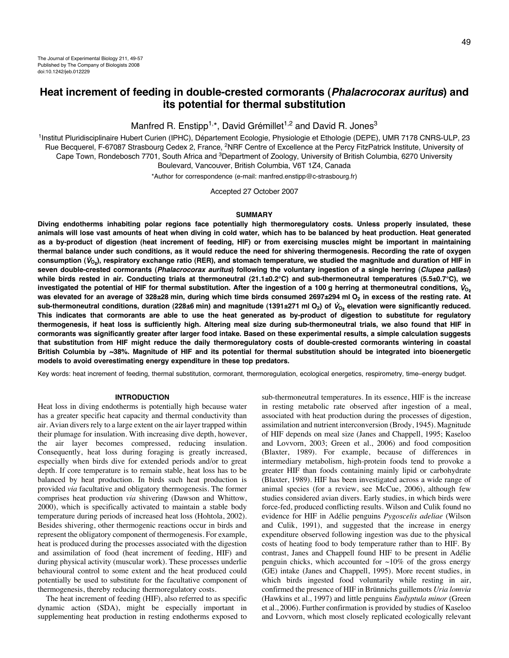49

# **Heat increment of feeding in double-crested cormorants (Phalacrocorax auritus) and its potential for thermal substitution**

Manfred R. Enstipp<sup>1,\*</sup>, David Grémillet<sup>1,2</sup> and David R. Jones<sup>3</sup>

<sup>1</sup>Institut Pluridisciplinaire Hubert Curien (IPHC), Département Ecologie, Physiologie et Ethologie (DEPE), UMR 7178 CNRS-ULP, 23 Rue Becquerel, F-67087 Strasbourg Cedex 2, France, <sup>2</sup>NRF Centre of Excellence at the Percy FitzPatrick Institute, University of Cape Town, Rondebosch 7701, South Africa and <sup>3</sup>Department of Zoology, University of British Columbia, 6270 University Boulevard, Vancouver, British Columbia, V6T 1Z4, Canada

\*Author for correspondence (e-mail: manfred.enstipp@c-strasbourg.fr)

Accepted 27 October 2007

## **SUMMARY**

**Diving endotherms inhabiting polar regions face potentially high thermoregulatory costs. Unless properly insulated, these animals will lose vast amounts of heat when diving in cold water, which has to be balanced by heat production. Heat generated as a by-product of digestion (heat increment of feeding, HIF) or from exercising muscles might be important in maintaining thermal balance under such conditions, as it would reduce the need for shivering thermogenesis. Recording the rate of oxygen consumption (**V**O**2**), respiratory exchange ratio (RER), and stomach temperature, we studied the magnitude and duration of HIF in seven double-crested cormorants (Phalacrocorax auritus) following the voluntary ingestion of a single herring (Clupea pallasi) while birds rested in air. Conducting trials at thermoneutral (21.1±0.2°C) and sub-thermoneutral temperatures (5.5±0.7°C), we** investigated the potential of HIF for thermal substitution. After the ingestion of a 100 g herring at thermoneutral conditions,  $V_{O_2}$ was elevated for an average of 328±28 min, during which time birds consumed 2697±294 ml O<sub>2</sub> in excess of the resting rate. At sub-thermoneutral conditions, duration (228±6 min) and magnitude (1391±271 ml O<sub>2</sub>) of  $\dot{V}_{O_2}$  elevation were significantly reduced. **This indicates that cormorants are able to use the heat generated as by-product of digestion to substitute for regulatory thermogenesis, if heat loss is sufficiently high. Altering meal size during sub-thermoneutral trials, we also found that HIF in cormorants was significantly greater after larger food intake. Based on these experimental results, a simple calculation suggests that substitution from HIF might reduce the daily thermoregulatory costs of double-crested cormorants wintering in coastal British Columbia by ~38%. Magnitude of HIF and its potential for thermal substitution should be integrated into bioenergetic models to avoid overestimating energy expenditure in these top predators.**

Key words: heat increment of feeding, thermal substitution, cormorant, thermoregulation, ecological energetics, respirometry, time–energy budget.

# **INTRODUCTION**

Heat loss in diving endotherms is potentially high because water has a greater specific heat capacity and thermal conductivity than air. Avian divers rely to a large extent on the air layer trapped within their plumage for insulation. With increasing dive depth, however, the air layer becomes compressed, reducing insulation. Consequently, heat loss during foraging is greatly increased, especially when birds dive for extended periods and/or to great depth. If core temperature is to remain stable, heat loss has to be balanced by heat production. In birds such heat production is provided *via* facultative and obligatory thermogenesis. The former comprises heat production *via* shivering (Dawson and Whittow, 2000), which is specifically activated to maintain a stable body temperature during periods of increased heat loss (Hohtola, 2002). Besides shivering, other thermogenic reactions occur in birds and represent the obligatory component of thermogenesis. For example, heat is produced during the processes associated with the digestion and assimilation of food (heat increment of feeding, HIF) and during physical activity (muscular work). These processes underlie behavioural control to some extent and the heat produced could potentially be used to substitute for the facultative component of thermogenesis, thereby reducing thermoregulatory costs.

The heat increment of feeding (HIF), also referred to as specific dynamic action (SDA), might be especially important in supplementing heat production in resting endotherms exposed to sub-thermoneutral temperatures. In its essence, HIF is the increase in resting metabolic rate observed after ingestion of a meal, associated with heat production during the processes of digestion, assimilation and nutrient interconversion (Brody, 1945). Magnitude of HIF depends on meal size (Janes and Chappell, 1995; Kaseloo and Lovvorn, 2003; Green et al., 2006) and food composition (Blaxter, 1989). For example, because of differences in intermediary metabolism, high-protein foods tend to provoke a greater HIF than foods containing mainly lipid or carbohydrate (Blaxter, 1989). HIF has been investigated across a wide range of animal species (for a review, see McCue, 2006), although few studies considered avian divers. Early studies, in which birds were force-fed, produced conflicting results. Wilson and Culik found no evidence for HIF in Adélie penguins *Pygoscelis adeliae* (Wilson and Culik, 1991), and suggested that the increase in energy expenditure observed following ingestion was due to the physical costs of heating food to body temperature rather than to HIF. By contrast, Janes and Chappell found HIF to be present in Adélie penguin chicks, which accounted for  $~10\%$  of the gross energy (GE) intake (Janes and Chappell, 1995). More recent studies, in which birds ingested food voluntarily while resting in air, confirmed the presence of HIF in Brünnichs guillemots *Uria lomvia* (Hawkins et al., 1997) and little penguins *Eudyptula minor* (Green et al., 2006). Further confirmation is provided by studies of Kaseloo and Lovvorn, which most closely replicated ecologically relevant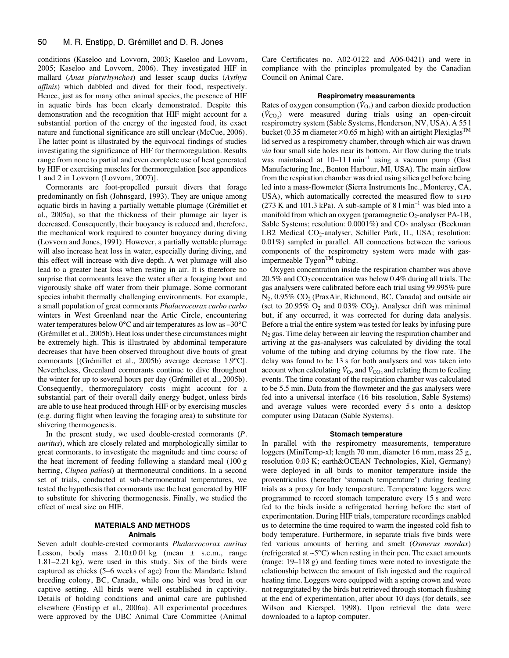conditions (Kaseloo and Lovvorn, 2003; Kaseloo and Lovvorn, 2005; Kaseloo and Lovvorn, 2006). They investigated HIF in mallard (*Anas platyrhynchos*) and lesser scaup ducks (*Aythya affinis*) which dabbled and dived for their food, respectively. Hence, just as for many other animal species, the presence of HIF in aquatic birds has been clearly demonstrated. Despite this demonstration and the recognition that HIF might account for a substantial portion of the energy of the ingested food, its exact nature and functional significance are still unclear (McCue, 2006). The latter point is illustrated by the equivocal findings of studies investigating the significance of HIF for thermoregulation. Results range from none to partial and even complete use of heat generated by HIF or exercising muscles for thermoregulation [see appendices 1 and 2 in Lovvorn (Lovvorn, 2007)].

Cormorants are foot-propelled pursuit divers that forage predominantly on fish (Johnsgard, 1993). They are unique among aquatic birds in having a partially wettable plumage (Grémillet et al., 2005a), so that the thickness of their plumage air layer is decreased. Consequently, their buoyancy is reduced and, therefore, the mechanical work required to counter buoyancy during diving (Lovvorn and Jones, 1991). However, a partially wettable plumage will also increase heat loss in water, especially during diving, and this effect will increase with dive depth. A wet plumage will also lead to a greater heat loss when resting in air. It is therefore no surprise that cormorants leave the water after a foraging bout and vigorously shake off water from their plumage. Some cormorant species inhabit thermally challenging environments. For example, a small population of great cormorants *Phalacrocorax carbo carbo* winters in West Greenland near the Artic Circle, encountering water temperatures below 0°C and air temperatures as low as –30°C (Grémillet et al., 2005b). Heat loss under these circumstances might be extremely high. This is illustrated by abdominal temperature decreases that have been observed throughout dive bouts of great cormorants [(Grémillet et al., 2005b) average decrease 1.9°C]. Nevertheless, Greenland cormorants continue to dive throughout the winter for up to several hours per day (Grémillet et al., 2005b). Consequently, thermoregulatory costs might account for a substantial part of their overall daily energy budget, unless birds are able to use heat produced through HIF or by exercising muscles (e.g. during flight when leaving the foraging area) to substitute for shivering thermogenesis.

In the present study, we used double-crested cormorants (*P. auritus*), which are closely related and morphologically similar to great cormorants, to investigate the magnitude and time course of the heat increment of feeding following a standard meal (100 g herring, *Clupea pallasi*) at thermoneutral conditions. In a second set of trials, conducted at sub-thermoneutral temperatures, we tested the hypothesis that cormorants use the heat generated by HIF to substitute for shivering thermogenesis. Finally, we studied the effect of meal size on HIF.

# **MATERIALS AND METHODS Animals**

Seven adult double-crested cormorants *Phalacrocorax auritus* Lesson, body mass  $2.10\pm0.01$  kg (mean  $\pm$  s.e.m., range  $1.81-2.21$  kg), were used in this study. Six of the birds were captured as chicks (5–6 weeks of age) from the Mandarte Island breeding colony, BC, Canada, while one bird was bred in our captive setting. All birds were well established in captivity. Details of holding conditions and animal care are published elsewhere (Enstipp et al., 2006a). All experimental procedures were approved by the UBC Animal Care Committee (Animal Care Certificates no. A02-0122 and A06-0421) and were in compliance with the principles promulgated by the Canadian Council on Animal Care.

# **Respirometry measurements**

Rates of oxygen consumption  $(\dot{V}_{O_2})$  and carbon dioxide production  $(\dot{V}_{CO_2})$  were measured during trials using an open-circuit respirometry system (Sable Systems, Henderson, NV, USA). A 55·l bucket (0.35 m diameter $\times$ 0.65 m high) with an airtight Plexiglas<sup>TM</sup> lid served as a respirometry chamber, through which air was drawn *via* four small side holes near its bottom. Air flow during the trials was maintained at  $10-11$  l min<sup>-1</sup> using a vacuum pump (Gast Manufacturing Inc., Benton Harbour, MI, USA). The main airflow from the respiration chamber was dried using silica gel before being led into a mass-flowmeter (Sierra Instruments Inc., Monterey, CA, USA), which automatically corrected the measured flow to STPD (273 K and 101.3 kPa). A sub-sample of 8  $l$  min<sup>-1</sup> was bled into a manifold from which an oxygen (paramagnetic  $O_2$ -analyser PA-1B, Sable Systems; resolution:  $0.0001\%$ ) and  $CO<sub>2</sub>$  analyser (Beckman LB2 Medical CO<sub>2</sub>-analyser, Schiller Park, IL, USA; resolution: 0.01%) sampled in parallel. All connections between the various components of the respirometry system were made with gasimpermeable  $Tygon^{TM}$  tubing.

Oxygen concentration inside the respiration chamber was above 20.5% and CO2 concentration was below 0.4% during all trials. The gas analysers were calibrated before each trial using 99.995% pure  $N_2$ , 0.95%  $CO_2$  (PraxAir, Richmond, BC, Canada) and outside air (set to 20.95%  $O_2$  and 0.03%  $CO_2$ ). Analyser drift was minimal but, if any occurred, it was corrected for during data analysis. Before a trial the entire system was tested for leaks by infusing pure N2 gas. Time delay between air leaving the respiration chamber and arriving at the gas-analysers was calculated by dividing the total volume of the tubing and drying columns by the flow rate. The delay was found to be 13 s for both analysers and was taken into account when calculating  $\dot{V}_{\text{O}_2}$  and  $\dot{V}_{\text{CO}_2}$  and relating them to feeding events. The time constant of the respiration chamber was calculated to be 5.5 min. Data from the flowmeter and the gas analysers were fed into a universal interface (16 bits resolution, Sable Systems) and average values were recorded every 5 s onto a desktop computer using Datacan (Sable Systems).

# **Stomach temperature**

In parallel with the respirometry measurements, temperature loggers (MiniTemp-xl; length 70 mm, diameter 16 mm, mass 25 g, resolution 0.03 K; earth&OCEAN Technologies, Kiel, Germany) were deployed in all birds to monitor temperature inside the proventriculus (hereafter 'stomach temperature') during feeding trials as a proxy for body temperature. Temperature loggers were programmed to record stomach temperature every 15 s and were fed to the birds inside a refrigerated herring before the start of experimentation. During HIF trials, temperature recordings enabled us to determine the time required to warm the ingested cold fish to body temperature. Furthermore, in separate trials five birds were fed various amounts of herring and smelt (*Osmerus mordax*) (refrigerated at  $\sim$ 5 $^{\circ}$ C) when resting in their pen. The exact amounts (range: 19–118 g) and feeding times were noted to investigate the relationship between the amount of fish ingested and the required heating time. Loggers were equipped with a spring crown and were not regurgitated by the birds but retrieved through stomach flushing at the end of experimentation, after about 10 days (for details, see Wilson and Kierspel, 1998). Upon retrieval the data were downloaded to a laptop computer.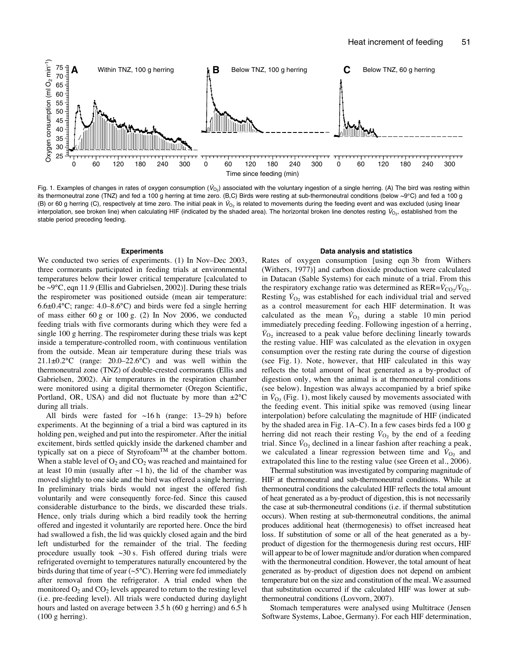

Fig. 1. Examples of changes in rates of oxygen consumption ( $V_{O_2}$ ) associated with the voluntary ingestion of a single herring. (A) The bird was resting within its thermoneutral zone (TNZ) and fed a 100 g herring at time zero. (B,C) Birds were resting at sub-thermoneutral conditions (below ~9°C) and fed a 100 g (B) or 60 g herring (C), respectively at time zero. The initial peak in  $V_{\text{O}_2}$  is related to movements during the feeding event and was excluded (using linear interpolation, see broken line) when calculating HIF (indicated by the shaded area). The horizontal broken line denotes resting  $V_{\text{O}_2}$ , established from the stable period preceding feeding.

## **Experiments**

We conducted two series of experiments. (1) In Nov–Dec 2003, three cormorants participated in feeding trials at environmental temperatures below their lower critical temperature [calculated to be ~9°C, eqn 11.9 (Ellis and Gabrielsen, 2002)]. During these trials the respirometer was positioned outside (mean air temperature: 6.6±0.4°C; range: 4.0–8.6°C) and birds were fed a single herring of mass either  $60 g$  or  $100 g$ . (2) In Nov 2006, we conducted feeding trials with five cormorants during which they were fed a single 100 g herring. The respirometer during these trials was kept inside a temperature-controlled room, with continuous ventilation from the outside. Mean air temperature during these trials was  $21.1\pm0.2$ °C (range:  $20.0-22.6$ °C) and was well within the thermoneutral zone (TNZ) of double-crested cormorants (Ellis and Gabrielsen, 2002). Air temperatures in the respiration chamber were monitored using a digital thermometer (Oregon Scientific, Portland, OR, USA) and did not fluctuate by more than  $\pm 2^{\circ}$ C during all trials.

All birds were fasted for  $\sim$ 16 h (range: 13–29 h) before experiments. At the beginning of a trial a bird was captured in its holding pen, weighed and put into the respirometer. After the initial excitement, birds settled quickly inside the darkened chamber and typically sat on a piece of StyrofoamTM at the chamber bottom. When a stable level of  $O_2$  and  $CO_2$  was reached and maintained for at least 10 min (usually after  $\sim$ 1 h), the lid of the chamber was moved slightly to one side and the bird was offered a single herring. In preliminary trials birds would not ingest the offered fish voluntarily and were consequently force-fed. Since this caused considerable disturbance to the birds, we discarded these trials. Hence, only trials during which a bird readily took the herring offered and ingested it voluntarily are reported here. Once the bird had swallowed a fish, the lid was quickly closed again and the bird left undisturbed for the remainder of the trial. The feeding procedure usually took  $\sim$ 30 s. Fish offered during trials were refrigerated overnight to temperatures naturally encountered by the birds during that time of year (~5°C). Herring were fed immediately after removal from the refrigerator. A trial ended when the monitored  $O_2$  and  $CO_2$  levels appeared to return to the resting level (i.e. pre-feeding level). All trials were conducted during daylight hours and lasted on average between  $3.5h(60g)$  herring) and  $6.5h$  $(100 \text{ g herring}).$ 

## **Data analysis and statistics**

Rates of oxygen consumption [using eqn 3b from Withers (Withers, 1977)] and carbon dioxide production were calculated in Datacan (Sable Systems) for each minute of a trial. From this the respiratory exchange ratio was determined as  $RER = \dot{V}_{CO_2}/\dot{V}_{O_2}$ . Resting  $V_{\text{O}_2}$  was established for each individual trial and served as a control measurement for each HIF determination. It was calculated as the mean  $V_{\text{O}_2}$  during a stable 10 min period immediately preceding feeding. Following ingestion of a herring,  $\dot{V}_{\text{O}_2}$  increased to a peak value before declining linearly towards the resting value. HIF was calculated as the elevation in oxygen consumption over the resting rate during the course of digestion (see Fig. 1). Note, however, that HIF calculated in this way reflects the total amount of heat generated as a by-product of digestion only, when the animal is at thermoneutral conditions (see below). Ingestion was always accompanied by a brief spike in  $\dot{V}_{O_2}$  (Fig. 1), most likely caused by movements associated with the feeding event. This initial spike was removed (using linear interpolation) before calculating the magnitude of HIF (indicated by the shaded area in Fig.  $1A-C$ ). In a few cases birds fed a 100 g herring did not reach their resting  $\dot{V}_{O_2}$  by the end of a feeding trial. Since  $\dot{V}_{O_2}$  declined in a linear fashion after reaching a peak, we calculated a linear regression between time and  $\dot{V}_{O_2}$  and extrapolated this line to the resting value (see Green et al., 2006).

Thermal substitution was investigated by comparing magnitude of HIF at thermoneutral and sub-thermoneutral conditions. While at thermoneutral conditions the calculated HIF reflects the total amount of heat generated as a by-product of digestion, this is not necessarily the case at sub-thermoneutral conditions (i.e. if thermal substitution occurs). When resting at sub-thermoneutral conditions, the animal produces additional heat (thermogenesis) to offset increased heat loss. If substitution of some or all of the heat generated as a byproduct of digestion for the thermogenesis during rest occurs, HIF will appear to be of lower magnitude and/or duration when compared with the thermoneutral condition. However, the total amount of heat generated as by-product of digestion does not depend on ambient temperature but on the size and constitution of the meal. We assumed that substitution occurred if the calculated HIF was lower at subthermoneutral conditions (Lovvorn, 2007).

Stomach temperatures were analysed using Multitrace (Jensen Software Systems, Laboe, Germany). For each HIF determination,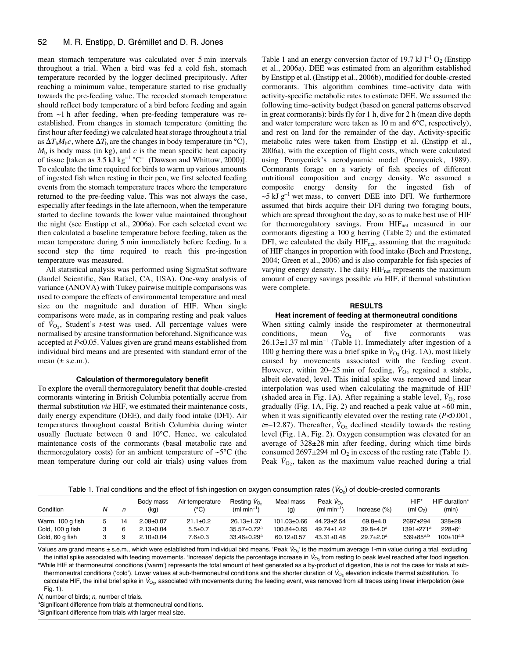mean stomach temperature was calculated over 5 min intervals throughout a trial. When a bird was fed a cold fish, stomach temperature recorded by the logger declined precipitously. After reaching a minimum value, temperature started to rise gradually towards the pre-feeding value. The recorded stomach temperature should reflect body temperature of a bird before feeding and again from  $\sim$ 1 h after feeding, when pre-feeding temperature was reestablished. From changes in stomach temperature (omitting the first hour after feeding) we calculated heat storage throughout a trial as  $\Delta T_b M_b c$ , where  $\Delta T_b$  are the changes in body temperature (in  $\rm{^{\circ}C}$ ),  $M<sub>b</sub>$  is body mass (in kg), and  $c$  is the mean specific heat capacity of tissue [taken as  $3.5 \text{ kJ kg}^{-1}$  °C<sup>-1</sup> (Dawson and Whittow, 2000)]. To calculate the time required for birds to warm up various amounts of ingested fish when resting in their pen, we first selected feeding events from the stomach temperature traces where the temperature returned to the pre-feeding value. This was not always the case, especially after feedings in the late afternoon, when the temperature started to decline towards the lower value maintained throughout the night (see Enstipp et al., 2006a). For each selected event we then calculated a baseline temperature before feeding, taken as the mean temperature during 5 min immediately before feeding. In a second step the time required to reach this pre-ingestion temperature was measured.

All statistical analysis was performed using SigmaStat software (Jandel Scientific, San Rafael, CA, USA). One-way analysis of variance (ANOVA) with Tukey pairwise multiple comparisons was used to compare the effects of environmental temperature and meal size on the magnitude and duration of HIF. When single comparisons were made, as in comparing resting and peak values of  $\dot{V}_{\text{O}_2}$ , Student's *t*-test was used. All percentage values were normalised by arcsine transformation beforehand. Significance was accepted at *P*<0.05. Values given are grand means established from individual bird means and are presented with standard error of the mean  $(\pm$  s.e.m.).

## **Calculation of thermoregulatory benefit**

To explore the overall thermoregulatory benefit that double-crested cormorants wintering in British Columbia potentially accrue from thermal substitution *via* HIF, we estimated their maintenance costs, daily energy expenditure (DEE), and daily food intake (DFI). Air temperatures throughout coastal British Columbia during winter usually fluctuate between 0 and 10°C. Hence, we calculated maintenance costs of the cormorants (basal metabolic rate and thermoregulatory costs) for an ambient temperature of  $\sim5^{\circ}$ C (the mean temperature during our cold air trials) using values from

Table 1 and an energy conversion factor of 19.7 kJ  $l^{-1}$  O<sub>2</sub> (Enstipp et al., 2006a). DEE was estimated from an algorithm established by Enstipp et al. (Enstipp et al., 2006b), modified for double-crested cormorants. This algorithm combines time–activity data with activity-specific metabolic rates to estimate DEE. We assumed the following time–activity budget (based on general patterns observed in great cormorants): birds fly for  $1-h$ , dive for  $2-h$  (mean dive depth and water temperature were taken as  $10 \text{ m}$  and  $6^{\circ}$ C, respectively), and rest on land for the remainder of the day. Activity-specific metabolic rates were taken from Enstipp et al. (Enstipp et al., 2006a), with the exception of flight costs, which were calculated using Pennycuick's aerodynamic model (Pennycuick, 1989). Cormorants forage on a variety of fish species of different nutritional composition and energy density. We assumed a composite energy density for the ingested fish of  $\sim$ 5 kJ g<sup>-1</sup> wet mass, to convert DEE into DFI. We furthermore assumed that birds acquire their DFI during two foraging bouts, which are spread throughout the day, so as to make best use of HIF for thermoregulatory savings. From HIF<sub>net</sub> measured in our cormorants digesting a 100 g herring (Table 2) and the estimated DFI, we calculated the daily  $HIF_{net}$ , assuming that the magnitude of HIF changes in proportion with food intake (Bech and Præsteng, 2004; Green et al., 2006) and is also comparable for fish species of varying energy density. The daily  $HIF<sub>net</sub>$  represents the maximum amount of energy savings possible *via* HIF, if thermal substitution were complete.

## **RESULTS**

#### **Heat increment of feeding at thermoneutral conditions**

When sitting calmly inside the respirometer at thermoneutral conditions, mean  $\dot{V}_{\text{O}_2}$  of five cormorants was  $26.13\pm1.37$  ml min<sup>-1</sup> (Table 1). Immediately after ingestion of a 100 g herring there was a brief spike in  $\dot{V}_{O_2}$  (Fig. 1A), most likely caused by movements associated with the feeding event. However, within 20–25 min of feeding,  $V_{O_2}$  regained a stable, albeit elevated, level. This initial spike was removed and linear interpolation was used when calculating the magnitude of HIF (shaded area in Fig. 1A). After regaining a stable level,  $\dot{V}_{O_2}$  rose gradually (Fig. 1A, Fig. 2) and reached a peak value at  $~60$  min, when it was significantly elevated over the resting rate (*P*<0.001,  $t=-12.87$ ). Thereafter,  $\dot{V}_{\text{O}_2}$  declined steadily towards the resting level (Fig. 1A, Fig. 2). Oxygen consumption was elevated for an average of  $328\pm28$  min after feeding, during which time birds consumed  $2697\pm294$  ml O<sub>2</sub> in excess of the resting rate (Table 1). Peak  $V_{\text{O}_2}$ , taken as the maximum value reached during a trial

| Table 1. Trial conditions and the effect of fish ingestion on oxygen consumption rates ( $V_{Q_2}$ ) of double-crested cormorants |  |
|-----------------------------------------------------------------------------------------------------------------------------------|--|
|-----------------------------------------------------------------------------------------------------------------------------------|--|

| Condition        | Ν |    | Body mass<br>(kq) | Air temperature<br>(°C) | Resting $V_{O_2}$<br>$(ml min-1)$ | Meal mass<br>(q)  | Peak $V_{\Omega_2}$<br>$(ml min-1)$ | Increase $(%)$ | HIF*<br>(mI O <sub>2</sub> ) | HIF duration*<br>(min) |
|------------------|---|----|-------------------|-------------------------|-----------------------------------|-------------------|-------------------------------------|----------------|------------------------------|------------------------|
| Warm, 100 g fish |   | 14 | $2.08 + 0.07$     | $21.1 \pm 0.2$          | $26.13 \pm 1.37$                  | $101.03 \pm 0.66$ | $44.23 \pm 2.54$                    | $69.8 + 4.0$   | 2697±294                     | $328+28$               |
| Cold, 100 g fish |   | 6  | $2.13 \pm 0.04$   | $5.5 \pm 0.7$           | $35.57 + 0.72^a$                  | $100.84 \pm 0.65$ | $49.74 \pm 1.42$                    | $39.8 + 4.0^a$ | $1391+271^a$                 | $228 + 6^a$            |
| Cold, 60 q fish  |   | 9  | $2.10+0.04$       | 7.6±0.3                 | $33.46 \pm 0.29^a$                | $60.12 \pm 0.57$  | $43.31 \pm 0.48$                    | $29.7 + 2.0^a$ | $539 \pm 85^{a,b}$           | $100+10^{a,b}$         |

Values are grand means  $\pm$  s.e.m., which were established from individual bird means. 'Peak  $V_{\text{O}_2}$ ' is the maximum average 1-min value during a trial, excluding the initial spike associated with feeding movements. 'Increase' depicts the percentage increase in  $V_{O_2}$  from resting to peak level reached after food ingestion.

\*While HIF at thermoneutral conditions (ʻwarm') represents the total amount of heat generated as a by-product of digestion, this is not the case for trials at subthermoneutral conditions ('cold'). Lower values at sub-thermoneutral conditions and the shorter duration of  $V_{O_2}$  elevation indicate thermal substitution. To

calculate HIF, the initial brief spike in  $V_{\text{O}_2}$ , associated with movements during the feeding event, was removed from all traces using linear interpolation (see Fig.·1).

 $N$ , number of birds; n, number of trials.<br><sup>a</sup>Significant difference from trials at thermoneutral conditions.

bSignificant difference from trials with larger meal size.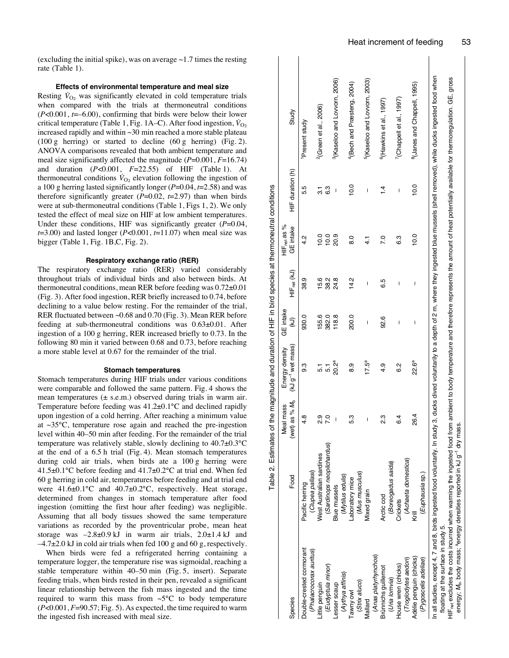(excluding the initial spike), was on average  $\sim$  1.7 times the resting rate (Table 1).

**Effects of environmental temperature and meal size**

Resting  $\dot{V}_{\text{O}_2}$  was significantly elevated in cold temperature trials when compared with the trials at thermoneutral conditions (*P*<0.001, *t*=–6.00), confirming that birds were below their lower critical temperature (Table 1, Fig. 1A–C). After food ingestion,  $\dot{V}_{O_2}$ increased rapidly and within  $~50$  min reached a more stable plateau  $(100 \text{ g}$  herring) or started to decline  $(60 \text{ g}$  herring) (Fig. 2). ANOVA comparisons revealed that both ambient temperature and meal size significantly affected the magnitude (*P*=0.001, *F*=16.74) and duration  $(P<0.001, F=22.55)$  of HIF (Table 1). At thermoneutral conditions  $\dot{V}_{O_2}$  elevation following the ingestion of a 100 g herring lasted significantly longer ( $P=0.04$ ,  $t=2.58$ ) and was therefore significantly greater  $(P=0.02, t=2.97)$  than when birds were at sub-thermoneutral conditions (Table 1, Figs 1, 2). We only tested the effect of meal size on HIF at low ambient temperatures. Under these conditions, HIF was significantly greater (*P*=0.04, *t*=3.00) and lasted longer (*P*<0.001, *t*=11.07) when meal size was bigger (Table  $1$ , Fig.  $1B,C$ , Fig.  $2$ ).

# **Respiratory exchange ratio (RER)**

The respiratory exchange ratio (RER) varied considerably throughout trials of individual birds and also between birds. At thermoneutral conditions, mean RER before feeding was 0.72±0.01 (Fig. 3). After food ingestion, RER briefly increased to 0.74, before declining to a value below resting. For the remainder of the trial, RER fluctuated between  $\sim 0.68$  and  $0.70$  (Fig. 3). Mean RER before feeding at sub-thermoneutral conditions was 0.63±0.01. After ingestion of a  $100 \text{ g}$  herring, RER increased briefly to  $0.73$ . In the following 80 min it varied between 0.68 and 0.73, before reaching a more stable level at 0.67 for the remainder of the trial.

Table 2. Estimates of the magnitude and duration of HIF in bird species at thermoneutral conditions Meal mass Energy density GE intake HIF<sub>net</sub> as %

2. Estimates of the magnitude and duration of HIF in bird species at thermoneutral conditions

GE intake

 $(kJ)$ 

(kJ g<sup>-1</sup> wet mass) Energy density

wet) as % M<sub>b</sub> Meal mass

Mb (kJ·g=1·wet·mass) (kJ) HIF-et·(kJ) GE intake HIF duration (h) Study

 $HIF_{net}(kJ)$ 38.9

HIF<sub>net</sub> as % GE intake

HIF duration (h)

Study

Present study

5.5

 $4.2$ 

Double-crested cormorant Pacific herring 4.8 9.3 930.0 38.9 4.2 5.5 1Present study

 $4.8$ 

9.3

930.0

Little penguin West Australian sardines 15.6 5.1 5.9 5.9 15.6 15.6 10.0 10.0 3.9 10.0 3.1 20.06)

 $\frac{1}{5}$   $\frac{1}{5}$ 

udyptula minor) (Europi 1.0 5.382.0 5.382.0 5.382.0 5.382.0 5.382.0 5.382.0 5.382.0 5.382.0 5.382.0 5.4 5.382.

0.5<br>2.0

(Sardinops neopilchardus) West Australian sardines

20.2ª

Tawny owl Laboratory mice 5.3 8.9 200.0 14.2 8.0 10.0 4(Bech and Præsteng, 2004)

 $8.9$ 

53

Brünnichs guillemoths guillemoths guillemoths arctic cod 2.3 4.9 9.2 9.3 4.9 9.5 9.2 9.3 9.4 7.0 7.0 7.0 7.0 7.0

 $4.9$ 6.2

23  $6.4$ 

 $17.5^a$ 

6.5

92.6 Ï

(chicks) Cricks 6.392010 − – – – – – 7.9 – 7.9 – 7.9 – 7.9 – 7.9 – 7.9 – 7.9 – 7.9 – 7.9 – 7.9 – 7.9 – 7.9 – 7

Adélie penguin (chicks) (chicks) (chicks) (chicks) (chicks) (chicks) (chicks) (chicks) (chicks) (chicks) (chicks) (chicks) (chicks) (chicks) (chicks) (chicks) (chicks) (chicks) (chicks) (chicks) (chicks) (chicks) (chicks)

22.6ª

 $26.4$ 

Species (wet) as  $\%$ 

Food

Table:

Phalacrocorax a (Phalacrocorax auritus)

Double-crested cormorant

Species

E(

Lesser scaup Little penguin

Aythya affini (Aythya affinis)

Strix al (

Mallard

Tawny owl

Ana (

s platyrhynchos)

Uria lomvia (Uria lomvia)

) (Boreogadus saida)

(Troglodytes aedon) (Achaeta domestica)

(Troglodytes aedon) Adélie penguin (chicks) House wren (chicks)

Κrill

(Achaeta domestica) (Boreogadus saida)

Pygo (

scelis adeliae) (

Euphausia sp.)

(Euphausia sp.)

(Strix aluco)

Mus musculus)

Vixed grain Arctic cod Crickets

(Mus musculus)

s) (Mytilus edulis)

(Mytilus edulis) -aboratory mice

**Blue mussels** 

(Phalacrocorax auritus) (Clupea pallasi)

(Clupea pallasi)

Pacific herring

# **Stomach temperatures**

Stomach temperatures during HIF trials under various conditions were comparable and followed the same pattern. Fig. 4 shows the mean temperatures  $(\pm s.e.m.)$  observed during trials in warm air. Temperature before feeding was 41.2±0.1°C and declined rapidly upon ingestion of a cold herring. After reaching a minimum value at ~35°C, temperature rose again and reached the pre-ingestion level within 40–50 min after feeding. For the remainder of the trial temperature was relatively stable, slowly declining to 40.7±0.3°C at the end of a  $6.5h$  trial (Fig. 4). Mean stomach temperatures during cold air trials, when birds ate a 100 g herring were 41.5±0.1°C before feeding and 41.7±0.2°C at trial end. When fed 60 g herring in cold air, temperatures before feeding and at trial end were 41.6±0.1°C and 40.7±0.2°C, respectively. Heat storage, determined from changes in stomach temperature after food ingestion (omitting the first hour after feeding) was negligible. Assuming that all body tissues showed the same temperature variations as recorded by the proventricular probe, mean heat storage was  $-2.8\pm0.9$  kJ in warm air trials,  $2.0\pm1.4$  kJ and  $-4.7\pm2.0$  kJ in cold air trials when fed 100 g and 60 g, respectively.

When birds were fed a refrigerated herring containing a temperature logger, the temperature rise was sigmoidal, reaching a stable temperature within 40–50 min (Fig. 5, insert). Separate feeding trials, when birds rested in their pen, revealed a significant linear relationship between the fish mass ingested and the time required to warm this mass from  $\sim$ 5 $\degree$ C to body temperature  $(P<0.001, F=90.57; Fig. 5)$ . As expected, the time required to warm the ingested fish increased with meal size.

(Bech and Præsteng, 2004)

 $0.0$ 

 $\overline{8.0}$ 

 $P$ (Green et al., 2006)

 $6.\overline{3}$  $\overline{3}$ .

> $10.0$ 20.9

 $15.8$ <br>38 **24.8**  $14.2$ 

155.6<br>382.0 118.8 200.0

 $0.0$ 

In all studies, except 4, 7 and 8, birds ingested food voluntarily. In study 3, ducks dived voluntarily to a depth of 2 m, where they ingested blue mussels (shell removed), while ducks ingested food when In all studies, except 4, 7 and 8, birds ingested food voluntarily. In study 3, ducks dived voluntarily. In study 3, ducks dived voluntarily. In study 3, ducks ingested food when floating at the surface in study 5. floating at the surface in study 5.

HIF<sub>ret</sub> excludes the costs incurred when warming the ingested food from ambient to body temperature and therefore represents the amount of heat potentially available for thermoregulation. GE, gross HIF $_{\rm{rel}}$  excludes the costs include when warming the ingested foom ambient to body temperature and therefore represents the amount of heat potentially available for thermoregulation. GE, gross energy; M<sub>p</sub>, body mass; aenergy densities reported in kJ g<sup>-1</sup> dry mass.  $M_{\rm b}$ , body mass; <sup>a</sup>energy densities reported in kJ g<sup>-1</sup> dry mass.

<sup>9</sup>(Janes and Chappell, 1995)

 $\frac{0}{2}$ 

 $\frac{0}{2}$ 

63 7.0  $\frac{1}{4}$ 

(Chappell et al., 1997) (Hawkins et al., 1997)

 $14$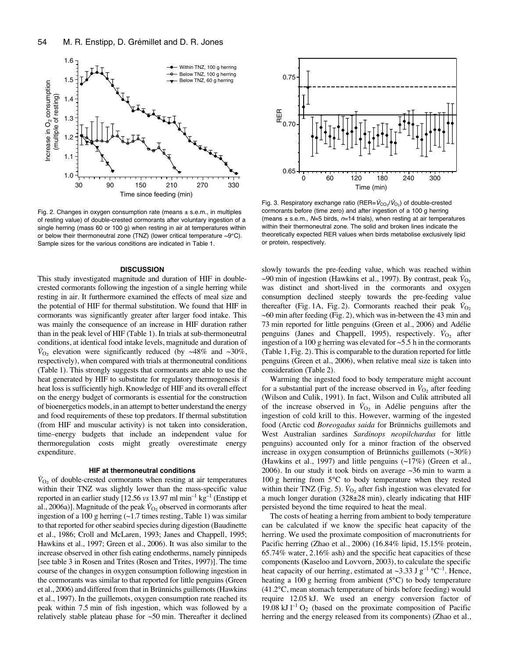

Fig. 2. Changes in oxygen consumption rate (means  $\pm$  s.e.m., in multiples of resting value) of double-crested cormorants after voluntary ingestion of a single herring (mass 60 or 100 g) when resting in air at temperatures within or below their thermoneutral zone (TNZ) (lower critical temperature  $\sim 9^{\circ}$ C). Sample sizes for the various conditions are indicated in Table 1.

# **DISCUSSION**

This study investigated magnitude and duration of HIF in doublecrested cormorants following the ingestion of a single herring while resting in air. It furthermore examined the effects of meal size and the potential of HIF for thermal substitution. We found that HIF in cormorants was significantly greater after larger food intake. This was mainly the consequence of an increase in HIF duration rather than in the peak level of HIF (Table 1). In trials at sub-thermoneutral conditions, at identical food intake levels, magnitude and duration of  $V_{\text{O}_2}$  elevation were significantly reduced (by  $\sim$ 48% and  $\sim$ 30%, respectively), when compared with trials at thermoneutral conditions (Table 1). This strongly suggests that cormorants are able to use the heat generated by HIF to substitute for regulatory thermogenesis if heat loss is sufficiently high. Knowledge of HIF and its overall effect on the energy budget of cormorants is essential for the construction of bioenergetics models, in an attempt to better understand the energy and food requirements of these top predators. If thermal substitution (from HIF and muscular activity) is not taken into consideration, time–energy budgets that include an independent value for thermoregulation costs might greatly overestimate energy expenditure.

#### **HIF at thermoneutral conditions**

 $V_{\text{O}_2}$  of double-crested cormorants when resting at air temperatures within their TNZ was slightly lower than the mass-specific value reported in an earlier study  $[12.56 \text{ vs } 13.97 \text{ ml } \text{min}^{-1} \text{ kg}^{-1}$  (Enstipp et al., 2006a)]. Magnitude of the peak  $\dot{V}_{O_2}$  observed in cormorants after ingestion of a 100 g herring  $(-1.7)$  times resting, Table 1) was similar to that reported for other seabird species during digestion (Baudinette et al., 1986; Croll and McLaren, 1993; Janes and Chappell, 1995; Hawkins et al., 1997; Green et al., 2006). It was also similar to the increase observed in other fish eating endotherms, namely pinnipeds [see table 3 in Rosen and Trites (Rosen and Trites, 1997)]. The time course of the changes in oxygen consumption following ingestion in the cormorants was similar to that reported for little penguins (Green et al., 2006) and differed from that in Brünnichs guillemots (Hawkins et al., 1997). In the guillemots, oxygen consumption rate reached its peak within 7.5 min of fish ingestion, which was followed by a relatively stable plateau phase for  $\sim$  50 min. Thereafter it declined

![](_page_5_Figure_7.jpeg)

Fig. 3. Respiratory exchange ratio (RER= $\dot{V}_{CO_2}/\dot{V}_{O_2}$ ) of double-crested cormorants before (time zero) and after ingestion of a 100 g herring (means  $\pm$  s.e.m., N=5 birds, n=14 trials), when resting at air temperatures within their thermoneutral zone. The solid and broken lines indicate the theoretically expected RER values when birds metabolise exclusively lipid or protein, respectively.

slowly towards the pre-feeding value, which was reached within  $\sim$ 90 min of ingestion (Hawkins et al., 1997). By contrast, peak  $\dot{V}_{O_2}$ was distinct and short-lived in the cormorants and oxygen consumption declined steeply towards the pre-feeding value thereafter (Fig. 1A, Fig. 2). Cormorants reached their peak  $\dot{V}_{\text{O}_2}$  $\sim$  60 min after feeding (Fig. 2), which was in-between the 43 min and 73 min reported for little penguins (Green et al., 2006) and Adélie penguins (Janes and Chappell, 1995), respectively.  $\dot{V}_{O_2}$  after ingestion of a 100 g herring was elevated for  $\sim$  5.5 h in the cormorants (Table 1, Fig. 2). This is comparable to the duration reported for little penguins (Green et al., 2006), when relative meal size is taken into consideration (Table 2).

Warming the ingested food to body temperature might account for a substantial part of the increase observed in  $\dot{V}_{O_2}$  after feeding (Wilson and Culik, 1991). In fact, Wilson and Culik attributed all of the increase observed in  $\dot{V}_{O_2}$  in Adélie penguins after the ingestion of cold krill to this. However, warming of the ingested food (Arctic cod *Boreogadus saida* for Brünnichs guillemots and West Australian sardines *Sardinops neopilchardus* for little penguins) accounted only for a minor fraction of the observed increase in oxygen consumption of Brünnichs guillemots (~30%) (Hawkins et al., 1997) and little penguins (~17%) (Green et al., 2006). In our study it took birds on average  $\sim$ 36 min to warm a  $100 \text{ g}$  herring from  $5^{\circ}$ C to body temperature when they rested within their TNZ (Fig. 5).  $\dot{V}_{O_2}$  after fish ingestion was elevated for a much longer duration  $(328\pm 28 \text{ min})$ , clearly indicating that HIF persisted beyond the time required to heat the meal.

The costs of heating a herring from ambient to body temperature can be calculated if we know the specific heat capacity of the herring. We used the proximate composition of macronutrients for Pacific herring (Zhao et al., 2006) (16.84% lipid, 15.15% protein, 65.74% water, 2.16% ash) and the specific heat capacities of these components (Kaseloo and Lovvorn, 2003), to calculate the specific heat capacity of our herring, estimated at ~3.33 J  $g^{-1}$  °C<sup>-1</sup>. Hence, heating a 100 g herring from ambient ( $5^{\circ}$ C) to body temperature (41.2°C, mean stomach temperature of birds before feeding) would require 12.05 kJ. We used an energy conversion factor of 19.08 kJ  $I^{-1}$  O<sub>2</sub> (based on the proximate composition of Pacific herring and the energy released from its components) (Zhao et al.,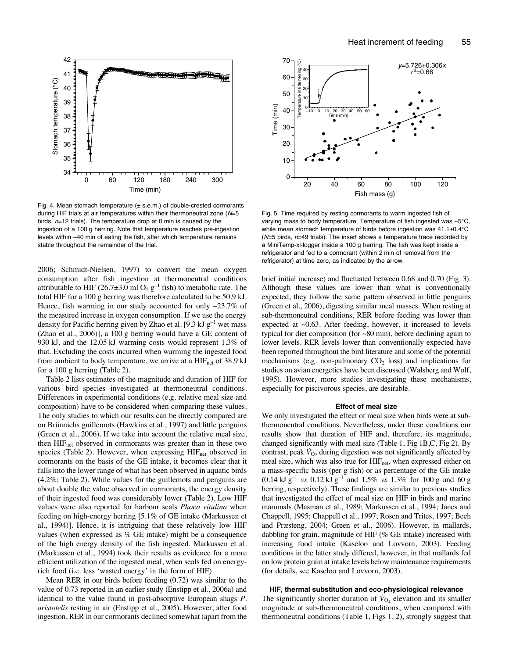![](_page_6_Figure_0.jpeg)

Fig. 4. Mean stomach temperature  $(\pm s.e.m.)$  of double-crested cormorants during HIF trials at air temperatures within their thermoneutral zone  $(N=5)$ birds,  $n=12$  trials). The temperature drop at 0 min is caused by the ingestion of a 100 g herring. Note that temperature reaches pre-ingestion levels within ~40 min of eating the fish, after which temperature remains stable throughout the remainder of the trial.

2006; Schmidt-Nielsen, 1997) to convert the mean oxygen consumption after fish ingestion at thermoneutral conditions attributable to HIF (26.7 $\pm$ 3.0 ml O<sub>2</sub> g<sup>-1</sup> fish) to metabolic rate. The total HIF for a 100 g herring was therefore calculated to be 50.9 kJ. Hence, fish warming in our study accounted for only ~23.7% of the measured increase in oxygen consumption. If we use the energy density for Pacific herring given by Zhao et al. [9.3 kJ  $g^{-1}$  wet mass (Zhao et al., 2006)], a 100 g herring would have a GE content of 930 kJ, and the 12.05 kJ warming costs would represent 1.3% of that. Excluding the costs incurred when warming the ingested food from ambient to body temperature, we arrive at a HIF<sub>net</sub> of 38.9 kJ for a  $100$  g herring (Table 2).

Table 2 lists estimates of the magnitude and duration of HIF for various bird species investigated at thermoneutral conditions. Differences in experimental conditions (e.g. relative meal size and composition) have to be considered when comparing these values. The only studies to which our results can be directly compared are on Brünnichs guillemots (Hawkins et al., 1997) and little penguins (Green et al., 2006). If we take into account the relative meal size, then HIF<sub>net</sub> observed in cormorants was greater than in these two species (Table 2). However, when expressing HIF<sub>net</sub> observed in cormorants on the basis of the GE intake, it becomes clear that it falls into the lower range of what has been observed in aquatic birds  $(4.2\%;$  Table 2). While values for the guillemots and penguins are about double the value observed in cormorants, the energy density of their ingested food was considerably lower (Table·2). Low HIF values were also reported for harbour seals *Phoca vitulina* when feeding on high-energy herring [5.1% of GE intake (Markussen et al., 1994)]. Hence, it is intriguing that these relatively low HIF values (when expressed as % GE intake) might be a consequence of the high energy density of the fish ingested. Markussen et al. (Markussen et al., 1994) took their results as evidence for a more efficient utilization of the ingested meal, when seals fed on energyrich food (i.e. less 'wasted energy' in the form of HIF).

Mean RER in our birds before feeding (0.72) was similar to the value of 0.73 reported in an earlier study (Enstipp et al., 2006a) and identical to the value found in post-absorptive European shags *P. aristotelis* resting in air (Enstipp et al., 2005). However, after food ingestion, RER in our cormorants declined somewhat (apart from the

![](_page_6_Figure_6.jpeg)

Fig. 5. Time required by resting cormorants to warm ingested fish of varying mass to body temperature. Temperature of fish ingested was ~5°C, while mean stomach temperature of birds before ingestion was 41.1±0.4°C  $(N=5$  birds,  $n=49$  trials). The insert shows a temperature trace recorded by a MiniTemp-xl-logger inside a 100 g herring. The fish was kept inside a refrigerator and fed to a cormorant (within 2 min of removal from the refrigerator) at time zero, as indicated by the arrow.

brief initial increase) and fluctuated between 0.68 and 0.70 (Fig. 3). Although these values are lower than what is conventionally expected, they follow the same pattern observed in little penguins (Green et al., 2006), digesting similar meal masses. When resting at sub-thermoneutral conditions, RER before feeding was lower than expected at ~0.63. After feeding, however, it increased to levels typical for diet composition (for  $\sim 80$  min), before declining again to lower levels. RER levels lower than conventionally expected have been reported throughout the bird literature and some of the potential mechanisms (e.g. non-pulmonary  $CO<sub>2</sub>$  loss) and implications for studies on avian energetics have been discussed (Walsberg and Wolf, 1995). However, more studies investigating these mechanisms, especially for piscivorous species, are desirable.

#### **Effect of meal size**

We only investigated the effect of meal size when birds were at subthermoneutral conditions. Nevertheless, under these conditions our results show that duration of HIF and, therefore, its magnitude, changed significantly with meal size (Table 1, Fig 1B, C, Fig 2). By contrast, peak  $V_{O_2}$  during digestion was not significantly affected by meal size, which was also true for HIF<sub>net</sub>, when expressed either on a mass-specific basis (per g fish) or as percentage of the GE intake  $(0.14 \text{ kJ g}^{-1} \text{ vs } 0.12 \text{ kJ g}^{-1} \text{ and } 1.5\% \text{ vs } 1.3\% \text{ for } 100 \text{ g and } 60 \text{ g})$ herring, respectively). These findings are similar to previous studies that investigated the effect of meal size on HIF in birds and marine mammals (Masman et al., 1989; Markussen et al., 1994; Janes and Chappell, 1995; Chappell et al., 1997; Rosen and Trites, 1997; Bech and Præsteng, 2004; Green et al., 2006). However, in mallards, dabbling for grain, magnitude of HIF (% GE intake) increased with increasing food intake (Kaseloo and Lovvorn, 2003). Feeding conditions in the latter study differed, however, in that mallards fed on low protein grain at intake levels below maintenance requirements (for details, see Kaseloo and Lovvorn, 2003).

## **HIF, thermal substitution and eco-physiological relevance**

The significantly shorter duration of  $\dot{V}_{O_2}$  elevation and its smaller magnitude at sub-thermoneutral conditions, when compared with thermoneutral conditions (Table 1, Figs 1, 2), strongly suggest that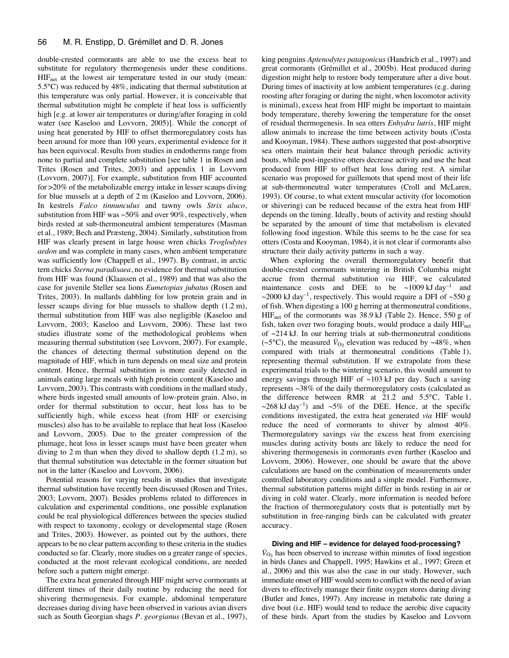double-crested cormorants are able to use the excess heat to substitute for regulatory thermogenesis under these conditions. HIF<sub>net</sub> at the lowest air temperature tested in our study (mean: 5.5°C) was reduced by 48%, indicating that thermal substitution at this temperature was only partial. However, it is conceivable that thermal substitution might be complete if heat loss is sufficiently high [e.g. at lower air temperatures or during/after foraging in cold water (see Kaseloo and Lovvorn, 2005)]. While the concept of using heat generated by HIF to offset thermoregulatory costs has been around for more than 100 years, experimental evidence for it has been equivocal. Results from studies in endotherms range from none to partial and complete substitution [see table 1 in Rosen and Trites (Rosen and Trites, 2003) and appendix 1 in Lovvorn (Lovvorn, 2007)]. For example, substitution from HIF accounted for >20% of the metabolizable energy intake in lesser scaups diving for blue mussels at a depth of 2 m (Kaseloo and Lovvorn, 2006). In kestrels *Falco tinnunculus* and tawny owls *Strix aluco*, substitution from HIF was  $\sim$  50% and over 90%, respectively, when birds rested at sub-thermoneutral ambient temperatures (Masman et al., 1989; Bech and Præsteng, 2004). Similarly, substitution from HIF was clearly present in large house wren chicks *Troglodytes aedon* and was complete in many cases, when ambient temperature was sufficiently low (Chappell et al., 1997). By contrast, in arctic tern chicks *Sterna paradisaea*, no evidence for thermal substitution from HIF was found (Klaassen et al., 1989) and that was also the case for juvenile Steller sea lions *Eumetopias jubatus* (Rosen and Trites, 2003). In mallards dabbling for low protein grain and in lesser scaups diving for blue mussels to shallow depth  $(1.2 \text{ m})$ , thermal substitution from HIF was also negligible (Kaseloo and Lovvorn, 2003; Kaseloo and Lovvorn, 2006). These last two studies illustrate some of the methodological problems when measuring thermal substitution (see Lovvorn, 2007). For example, the chances of detecting thermal substitution depend on the magnitude of HIF, which in turn depends on meal size and protein content. Hence, thermal substitution is more easily detected in animals eating large meals with high protein content (Kaseloo and Lovvorn, 2003). This contrasts with conditions in the mallard study, where birds ingested small amounts of low-protein grain. Also, in order for thermal substitution to occur, heat loss has to be sufficiently high, while excess heat (from HIF or exercising muscles) also has to be available to replace that heat loss (Kaseloo and Lovvorn, 2005). Due to the greater compression of the plumage, heat loss in lesser scaups must have been greater when diving to  $2m$  than when they dived to shallow depth  $(1.2m)$ , so that thermal substitution was detectable in the former situation but not in the latter (Kaseloo and Lovvorn, 2006).

Potential reasons for varying results in studies that investigate thermal substitution have recently been discussed (Rosen and Trites, 2003; Lovvorn, 2007). Besides problems related to differences in calculation and experimental conditions, one possible explanation could be real physiological differences between the species studied with respect to taxonomy, ecology or developmental stage (Rosen and Trites, 2003). However, as pointed out by the authors, there appears to be no clear pattern according to these criteria in the studies conducted so far. Clearly, more studies on a greater range of species, conducted at the most relevant ecological conditions, are needed before such a pattern might emerge.

The extra heat generated through HIF might serve cormorants at different times of their daily routine by reducing the need for shivering thermogenesis. For example, abdominal temperature decreases during diving have been observed in various avian divers such as South Georgian shags *P. georgianus* (Bevan et al., 1997), king penguins *Aptenodytes patagonicus* (Handrich et al., 1997) and great cormorants (Grémillet et al., 2005b). Heat produced during digestion might help to restore body temperature after a dive bout. During times of inactivity at low ambient temperatures (e.g. during roosting after foraging or during the night, when locomotor activity is minimal), excess heat from HIF might be important to maintain body temperature, thereby lowering the temperature for the onset of residual thermogenesis. In sea otters *Enhydra lutris*, HIF might allow animals to increase the time between activity bouts (Costa and Kooyman, 1984). These authors suggested that post-absorptive sea otters maintain their heat balance through periodic activity bouts, while post-ingestive otters decrease activity and use the heat produced from HIF to offset heat loss during rest. A similar scenario was proposed for guillemots that spend most of their life at sub-thermoneutral water temperatures (Croll and McLaren, 1993). Of course, to what extent muscular activity (for locomotion or shivering) can be reduced because of the extra heat from HIF depends on the timing. Ideally, bouts of activity and resting should be separated by the amount of time that metabolism is elevated following food ingestion. While this seems to be the case for sea otters (Costa and Kooyman, 1984), it is not clear if cormorants also structure their daily activity patterns in such a way.

When exploring the overall thermoregulatory benefit that double-crested cormorants wintering in British Columbia might accrue from thermal substitution *via* HIF, we calculated maintenance costs and DEE to be  $\sim$ 1009 kJ day<sup>-1</sup> and  $\sim$ 2000 kJ day<sup>-1</sup>, respectively. This would require a DFI of  $\sim$ 550 g of fish. When digesting a 100 g herring at thermoneutral conditions,  $HIF<sub>net</sub>$  of the cormorants was 38.9 kJ (Table 2). Hence, 550 g of fish, taken over two foraging bouts, would produce a daily HIF<sub>net</sub> of  $\sim$ 214 kJ. In our herring trials at sub-thermoneutral conditions ( $\sim$ 5°C), the measured  $\dot{V}_{O_2}$  elevation was reduced by  $\sim$ 48%, when compared with trials at thermoneutral conditions (Table 1), representing thermal substitution. If we extrapolate from these experimental trials to the wintering scenario, this would amount to energy savings through HIF of  $\sim$ 103 kJ per day. Such a saving represents ~38% of the daily thermoregulatory costs (calculated as the difference between RMR at  $21.2$  and  $5.5^{\circ}$ C, Table 1,  $\sim$ 268 kJ day<sup>-1</sup>) and  $\sim$ 5% of the DEE. Hence, at the specific conditions investigated, the extra heat generated *via* HIF would reduce the need of cormorants to shiver by almost 40%. Thermoregulatory savings *via* the excess heat from exercising muscles during activity bouts are likely to reduce the need for shivering thermogenesis in cormorants even further (Kaseloo and Lovvorn, 2006). However, one should be aware that the above calculations are based on the combination of measurements under controlled laboratory conditions and a simple model. Furthermore, thermal substitution patterns might differ in birds resting in air or diving in cold water. Clearly, more information is needed before the fraction of thermoregulatory costs that is potentially met by substitution in free-ranging birds can be calculated with greater accuracy.

# **Diving and HIF – evidence for delayed food-processing?**

 $\dot{V}_{\text{O}_2}$  has been observed to increase within minutes of food ingestion in birds (Janes and Chappell, 1995; Hawkins et al., 1997; Green et al., 2006) and this was also the case in our study. However, such immediate onset of HIF would seem to conflict with the need of avian divers to effectively manage their finite oxygen stores during diving (Butler and Jones, 1997). Any increase in metabolic rate during a dive bout (i.e. HIF) would tend to reduce the aerobic dive capacity of these birds. Apart from the studies by Kaseloo and Lovvorn